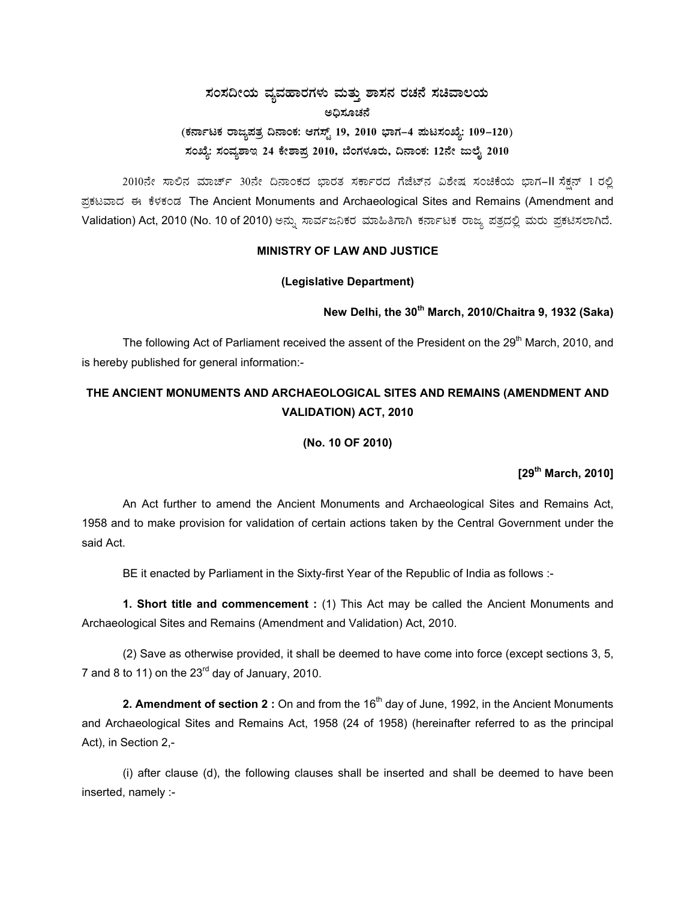# $\,$ ಸಂಸದೀಯ ವ್ಯವಹಾರಗಳು ಮತ್ತು ಶಾಸನ ರಚನೆ ಸಚಿವಾಲಯ ಅಧಿಸೂಚನೆ (ಕರ್ನಾಟಕ ರಾಜ್ಯಪತ್ರ ದಿನಾಂಕ: ಆಗಸ್ಟ್ 19, 2010 ಭಾಗ–4 **ಪುಟಸಂಖ್ಯೆ: 109–120**) ಸಂಖ್ಯೆ: ಸಂವ್ಯಶಾಇ 24 ಕೇಶಾಪ್ರ 2010, ಬೆಂಗಳೂರು, ದಿನಾಂಕ: 12ನೇ ಜುಲೈ 2010

2010ನೇ ಸಾಲಿನ ಮಾರ್ಚ್ 30ನೇ ದಿನಾಂಕದ ಭಾರತ ಸರ್ಕಾರದ ಗೆಜೆಟ್ನ ವಿಶೇಷ ಸಂಚಿಕೆಯ ಭಾಗ-II ಸೆಕ್ಷನ್ 1 ರಲ್ಲಿ ಪ್ರಕಟವಾದ ಈ ಕೆಳಕಂಡ The Ancient Monuments and Archaeological Sites and Remains (Amendment and Validation) Act, 2010 (No. 10 of 2010) ಅನ್ನು ಸಾರ್ವಜನಿಕರ ಮಾಹಿತಿಗಾಗಿ ಕರ್ನಾಟಕ ರಾಜ್ಯ ಪತ್ರದಲ್ಲಿ ಮರು ಪ್ರಕಟಿಸಲಾಗಿದೆ.

## **MINISTRY OF LAW AND JUSTICE**

#### **(Legislative Department)**

### **New Delhi, the 30th March, 2010/Chaitra 9, 1932 (Saka)**

The following Act of Parliament received the assent of the President on the 29<sup>th</sup> March, 2010, and is hereby published for general information:-

## **THE ANCIENT MONUMENTS AND ARCHAEOLOGICAL SITES AND REMAINS (AMENDMENT AND VALIDATION) ACT, 2010**

#### **(No. 10 OF 2010)**

**[29th March, 2010]** 

An Act further to amend the Ancient Monuments and Archaeological Sites and Remains Act, 1958 and to make provision for validation of certain actions taken by the Central Government under the said Act.

BE it enacted by Parliament in the Sixty-first Year of the Republic of India as follows :-

**1. Short title and commencement :** (1) This Act may be called the Ancient Monuments and Archaeological Sites and Remains (Amendment and Validation) Act, 2010.

(2) Save as otherwise provided, it shall be deemed to have come into force (except sections 3, 5, 7 and 8 to 11) on the  $23<sup>rd</sup>$  day of January, 2010.

**2. Amendment of section 2** : On and from the 16<sup>th</sup> day of June, 1992, in the Ancient Monuments and Archaeological Sites and Remains Act, 1958 (24 of 1958) (hereinafter referred to as the principal Act), in Section 2,-

(i) after clause (d), the following clauses shall be inserted and shall be deemed to have been inserted, namely :-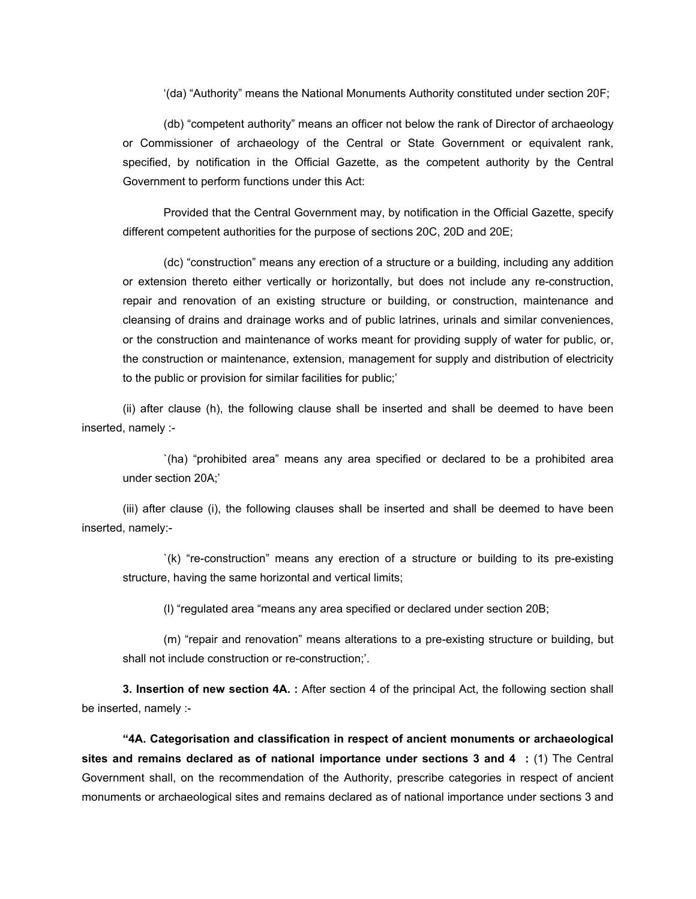'(da) "Authority" means the National Monuments Authority constituted under section 20F;

(db) "competent authority" means an officer not below the rank of Director of archaeology or Commissioner of archaeology of the Central or State Government or equivalent rank, specified, by notification in the Official Gazette, as the competent authority by the Central Government to perform functions under this Act:

Provided that the Central Government may, by notification in the Official Gazette, specify different competent authorities for the purpose of sections 20C, 20D and 20E;

(dc) "construction" means any erection of a structure or a building, including any addition or extension thereto either vertically or horizontally, but does not include any re-construction, repair and renovation of an existing structure or building, or construction, maintenance and cleansing of drains and drainage works and of public latrines, urinals and similar conveniences, or the construction and maintenance of works meant for providing supply of water for public, or, the construction or maintenance, extension, management for supply and distribution of electricity to the public or provision for similar facilities for public;'

(ii) after clause (h), the following clause shall be inserted and shall be deemed to have been inserted, namely :-

`(ha) "prohibited area" means any area specified or declared to be a prohibited area under section 20A;'

(iii) after clause (i), the following clauses shall be inserted and shall be deemed to have been inserted, namely:-

`(k) "re-construction" means any erection of a structure or building to its pre-existing structure, having the same horizontal and vertical limits;

(l) "regulated area "means any area specified or declared under section 20B;

(m) "repair and renovation" means alterations to a pre-existing structure or building, but shall not include construction or re-construction;'.

**3. Insertion of new section 4A. :** After section 4 of the principal Act, the following section shall be inserted, namely :-

**"4A. Categorisation and classification in respect of ancient monuments or archaeological sites and remains declared as of national importance under sections 3 and 4 :** (1) The Central Government shall, on the recommendation of the Authority, prescribe categories in respect of ancient monuments or archaeological sites and remains declared as of national importance under sections 3 and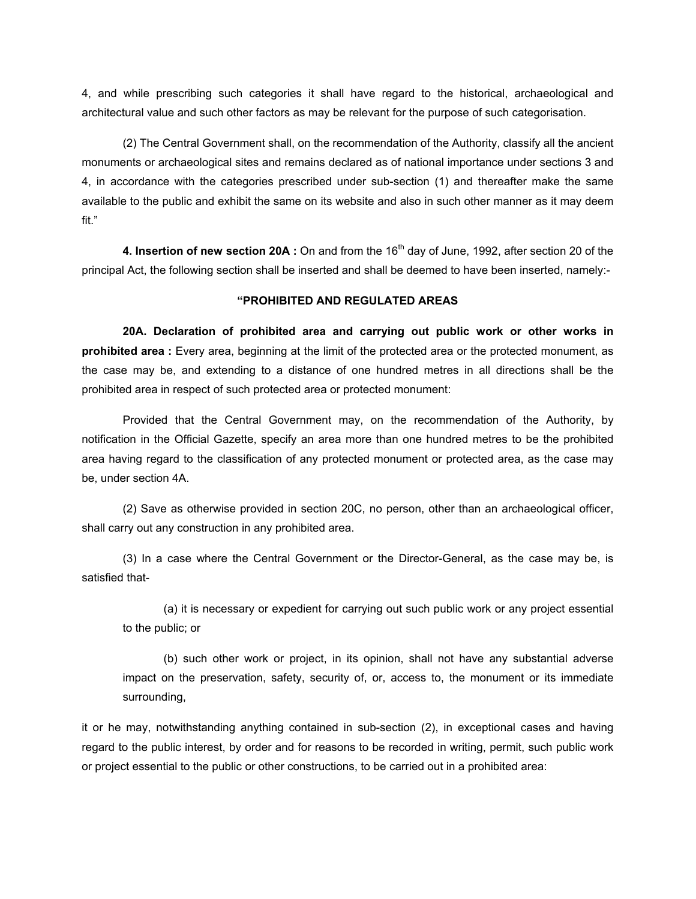4, and while prescribing such categories it shall have regard to the historical, archaeological and architectural value and such other factors as may be relevant for the purpose of such categorisation.

(2) The Central Government shall, on the recommendation of the Authority, classify all the ancient monuments or archaeological sites and remains declared as of national importance under sections 3 and 4, in accordance with the categories prescribed under sub-section (1) and thereafter make the same available to the public and exhibit the same on its website and also in such other manner as it may deem fit."

**4. Insertion of new section 20A** : On and from the 16<sup>th</sup> day of June, 1992, after section 20 of the principal Act, the following section shall be inserted and shall be deemed to have been inserted, namely:-

#### **"PROHIBITED AND REGULATED AREAS**

**20A. Declaration of prohibited area and carrying out public work or other works in prohibited area :** Every area, beginning at the limit of the protected area or the protected monument, as the case may be, and extending to a distance of one hundred metres in all directions shall be the prohibited area in respect of such protected area or protected monument:

Provided that the Central Government may, on the recommendation of the Authority, by notification in the Official Gazette, specify an area more than one hundred metres to be the prohibited area having regard to the classification of any protected monument or protected area, as the case may be, under section 4A.

(2) Save as otherwise provided in section 20C, no person, other than an archaeological officer, shall carry out any construction in any prohibited area.

(3) In a case where the Central Government or the Director-General, as the case may be, is satisfied that-

(a) it is necessary or expedient for carrying out such public work or any project essential to the public; or

(b) such other work or project, in its opinion, shall not have any substantial adverse impact on the preservation, safety, security of, or, access to, the monument or its immediate surrounding,

it or he may, notwithstanding anything contained in sub-section (2), in exceptional cases and having regard to the public interest, by order and for reasons to be recorded in writing, permit, such public work or project essential to the public or other constructions, to be carried out in a prohibited area: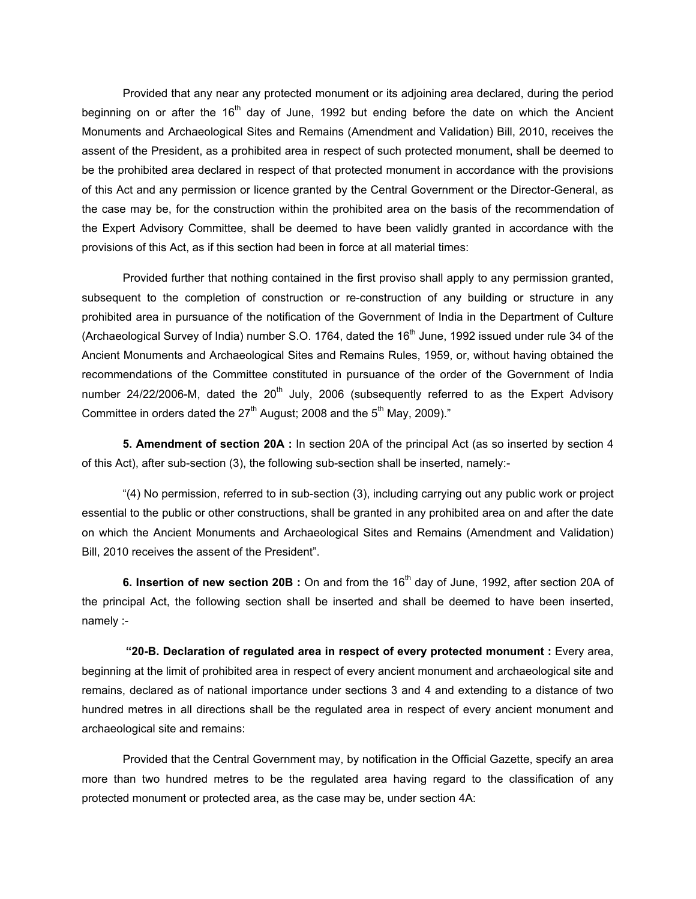Provided that any near any protected monument or its adjoining area declared, during the period beginning on or after the 16<sup>th</sup> day of June, 1992 but ending before the date on which the Ancient Monuments and Archaeological Sites and Remains (Amendment and Validation) Bill, 2010, receives the assent of the President, as a prohibited area in respect of such protected monument, shall be deemed to be the prohibited area declared in respect of that protected monument in accordance with the provisions of this Act and any permission or licence granted by the Central Government or the Director-General, as the case may be, for the construction within the prohibited area on the basis of the recommendation of the Expert Advisory Committee, shall be deemed to have been validly granted in accordance with the provisions of this Act, as if this section had been in force at all material times:

Provided further that nothing contained in the first proviso shall apply to any permission granted, subsequent to the completion of construction or re-construction of any building or structure in any prohibited area in pursuance of the notification of the Government of India in the Department of Culture (Archaeological Survey of India) number S.O. 1764, dated the  $16<sup>th</sup>$  June, 1992 issued under rule 34 of the Ancient Monuments and Archaeological Sites and Remains Rules, 1959, or, without having obtained the recommendations of the Committee constituted in pursuance of the order of the Government of India number 24/22/2006-M, dated the  $20<sup>th</sup>$  July, 2006 (subsequently referred to as the Expert Advisory Committee in orders dated the  $27<sup>th</sup>$  August; 2008 and the  $5<sup>th</sup>$  May, 2009)."

**5. Amendment of section 20A :** In section 20A of the principal Act (as so inserted by section 4 of this Act), after sub-section (3), the following sub-section shall be inserted, namely:-

"(4) No permission, referred to in sub-section (3), including carrying out any public work or project essential to the public or other constructions, shall be granted in any prohibited area on and after the date on which the Ancient Monuments and Archaeological Sites and Remains (Amendment and Validation) Bill, 2010 receives the assent of the President".

**6. Insertion of new section 20B** : On and from the 16<sup>th</sup> day of June, 1992, after section 20A of the principal Act, the following section shall be inserted and shall be deemed to have been inserted, namely :-

 **"20-B. Declaration of regulated area in respect of every protected monument :** Every area, beginning at the limit of prohibited area in respect of every ancient monument and archaeological site and remains, declared as of national importance under sections 3 and 4 and extending to a distance of two hundred metres in all directions shall be the regulated area in respect of every ancient monument and archaeological site and remains:

Provided that the Central Government may, by notification in the Official Gazette, specify an area more than two hundred metres to be the regulated area having regard to the classification of any protected monument or protected area, as the case may be, under section 4A: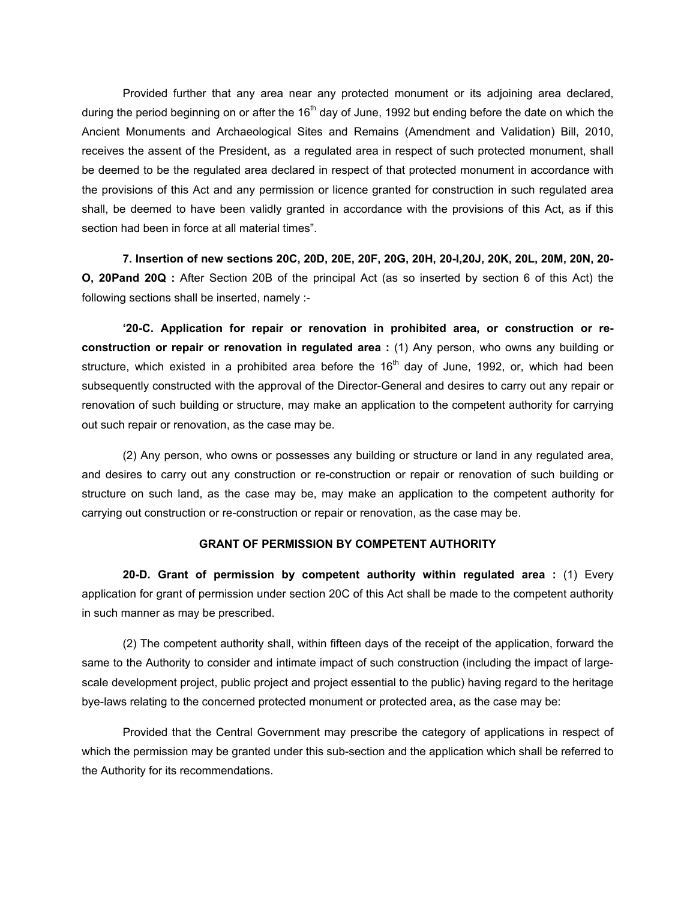Provided further that any area near any protected monument or its adjoining area declared, during the period beginning on or after the  $16<sup>th</sup>$  day of June, 1992 but ending before the date on which the Ancient Monuments and Archaeological Sites and Remains (Amendment and Validation) Bill, 2010, receives the assent of the President, as a regulated area in respect of such protected monument, shall be deemed to be the regulated area declared in respect of that protected monument in accordance with the provisions of this Act and any permission or licence granted for construction in such regulated area shall, be deemed to have been validly granted in accordance with the provisions of this Act, as if this section had been in force at all material times".

**7. Insertion of new sections 20C, 20D, 20E, 20F, 20G, 20H, 20-I,20J, 20K, 20L, 20M, 20N, 20- O, 20Pand 20Q :** After Section 20B of the principal Act (as so inserted by section 6 of this Act) the following sections shall be inserted, namely :-

**'20-C. Application for repair or renovation in prohibited area, or construction or reconstruction or repair or renovation in regulated area :** (1) Any person, who owns any building or structure, which existed in a prohibited area before the  $16<sup>th</sup>$  day of June, 1992, or, which had been subsequently constructed with the approval of the Director-General and desires to carry out any repair or renovation of such building or structure, may make an application to the competent authority for carrying out such repair or renovation, as the case may be.

(2) Any person, who owns or possesses any building or structure or land in any regulated area, and desires to carry out any construction or re-construction or repair or renovation of such building or structure on such land, as the case may be, may make an application to the competent authority for carrying out construction or re-construction or repair or renovation, as the case may be.

#### **GRANT OF PERMISSION BY COMPETENT AUTHORITY**

**20-D. Grant of permission by competent authority within regulated area :** (1) Every application for grant of permission under section 20C of this Act shall be made to the competent authority in such manner as may be prescribed.

(2) The competent authority shall, within fifteen days of the receipt of the application, forward the same to the Authority to consider and intimate impact of such construction (including the impact of largescale development project, public project and project essential to the public) having regard to the heritage bye-laws relating to the concerned protected monument or protected area, as the case may be:

Provided that the Central Government may prescribe the category of applications in respect of which the permission may be granted under this sub-section and the application which shall be referred to the Authority for its recommendations.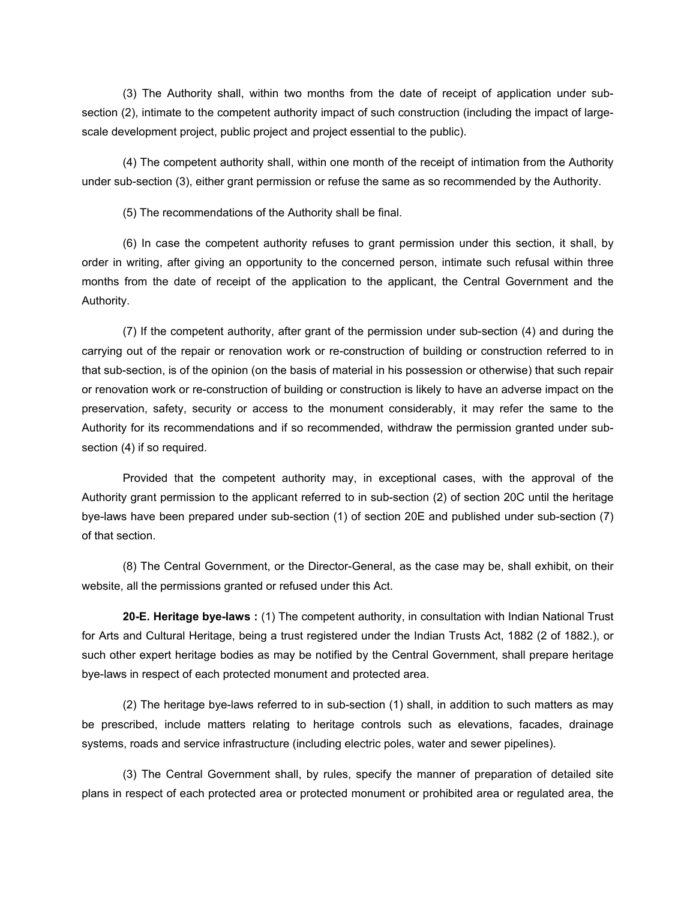(3) The Authority shall, within two months from the date of receipt of application under subsection (2), intimate to the competent authority impact of such construction (including the impact of largescale development project, public project and project essential to the public).

(4) The competent authority shall, within one month of the receipt of intimation from the Authority under sub-section (3), either grant permission or refuse the same as so recommended by the Authority.

(5) The recommendations of the Authority shall be final.

(6) In case the competent authority refuses to grant permission under this section, it shall, by order in writing, after giving an opportunity to the concerned person, intimate such refusal within three months from the date of receipt of the application to the applicant, the Central Government and the Authority.

(7) If the competent authority, after grant of the permission under sub-section (4) and during the carrying out of the repair or renovation work or re-construction of building or construction referred to in that sub-section, is of the opinion (on the basis of material in his possession or otherwise) that such repair or renovation work or re-construction of building or construction is likely to have an adverse impact on the preservation, safety, security or access to the monument considerably, it may refer the same to the Authority for its recommendations and if so recommended, withdraw the permission granted under subsection (4) if so required.

Provided that the competent authority may, in exceptional cases, with the approval of the Authority grant permission to the applicant referred to in sub-section (2) of section 20C until the heritage bye-laws have been prepared under sub-section (1) of section 20E and published under sub-section (7) of that section.

(8) The Central Government, or the Director-General, as the case may be, shall exhibit, on their website, all the permissions granted or refused under this Act.

**20-E. Heritage bye-laws :** (1) The competent authority, in consultation with Indian National Trust for Arts and Cultural Heritage, being a trust registered under the Indian Trusts Act, 1882 (2 of 1882.), or such other expert heritage bodies as may be notified by the Central Government, shall prepare heritage bye-laws in respect of each protected monument and protected area.

(2) The heritage bye-laws referred to in sub-section (1) shall, in addition to such matters as may be prescribed, include matters relating to heritage controls such as elevations, facades, drainage systems, roads and service infrastructure (including electric poles, water and sewer pipelines).

(3) The Central Government shall, by rules, specify the manner of preparation of detailed site plans in respect of each protected area or protected monument or prohibited area or regulated area, the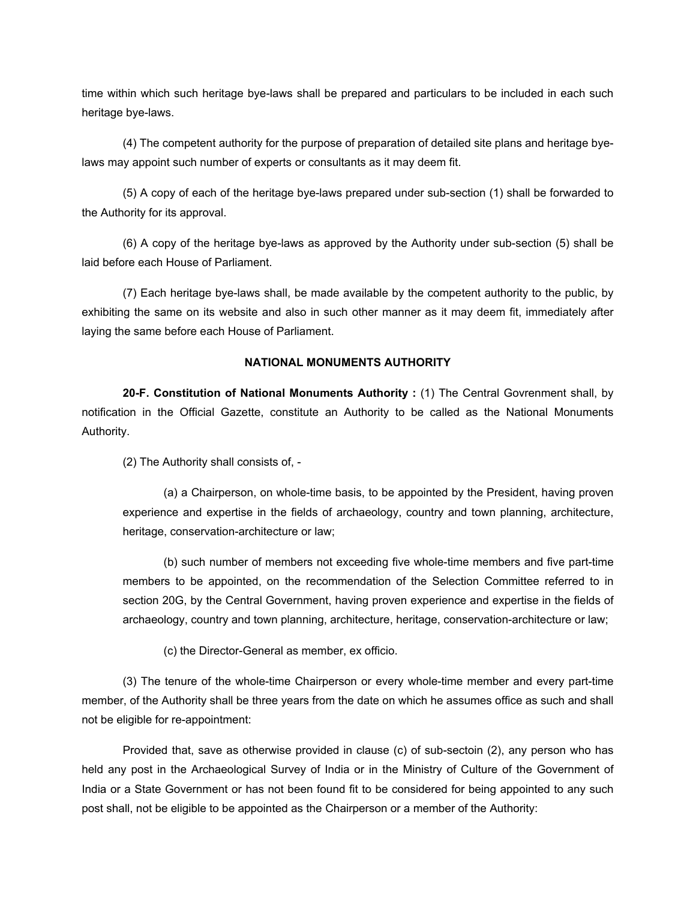time within which such heritage bye-laws shall be prepared and particulars to be included in each such heritage bye-laws.

(4) The competent authority for the purpose of preparation of detailed site plans and heritage byelaws may appoint such number of experts or consultants as it may deem fit.

(5) A copy of each of the heritage bye-laws prepared under sub-section (1) shall be forwarded to the Authority for its approval.

(6) A copy of the heritage bye-laws as approved by the Authority under sub-section (5) shall be laid before each House of Parliament.

(7) Each heritage bye-laws shall, be made available by the competent authority to the public, by exhibiting the same on its website and also in such other manner as it may deem fit, immediately after laying the same before each House of Parliament.

#### **NATIONAL MONUMENTS AUTHORITY**

**20-F. Constitution of National Monuments Authority :** (1) The Central Govrenment shall, by notification in the Official Gazette, constitute an Authority to be called as the National Monuments Authority.

(2) The Authority shall consists of, -

(a) a Chairperson, on whole-time basis, to be appointed by the President, having proven experience and expertise in the fields of archaeology, country and town planning, architecture, heritage, conservation-architecture or law;

(b) such number of members not exceeding five whole-time members and five part-time members to be appointed, on the recommendation of the Selection Committee referred to in section 20G, by the Central Government, having proven experience and expertise in the fields of archaeology, country and town planning, architecture, heritage, conservation-architecture or law;

(c) the Director-General as member, ex officio.

(3) The tenure of the whole-time Chairperson or every whole-time member and every part-time member, of the Authority shall be three years from the date on which he assumes office as such and shall not be eligible for re-appointment:

Provided that, save as otherwise provided in clause (c) of sub-sectoin (2), any person who has held any post in the Archaeological Survey of India or in the Ministry of Culture of the Government of India or a State Government or has not been found fit to be considered for being appointed to any such post shall, not be eligible to be appointed as the Chairperson or a member of the Authority: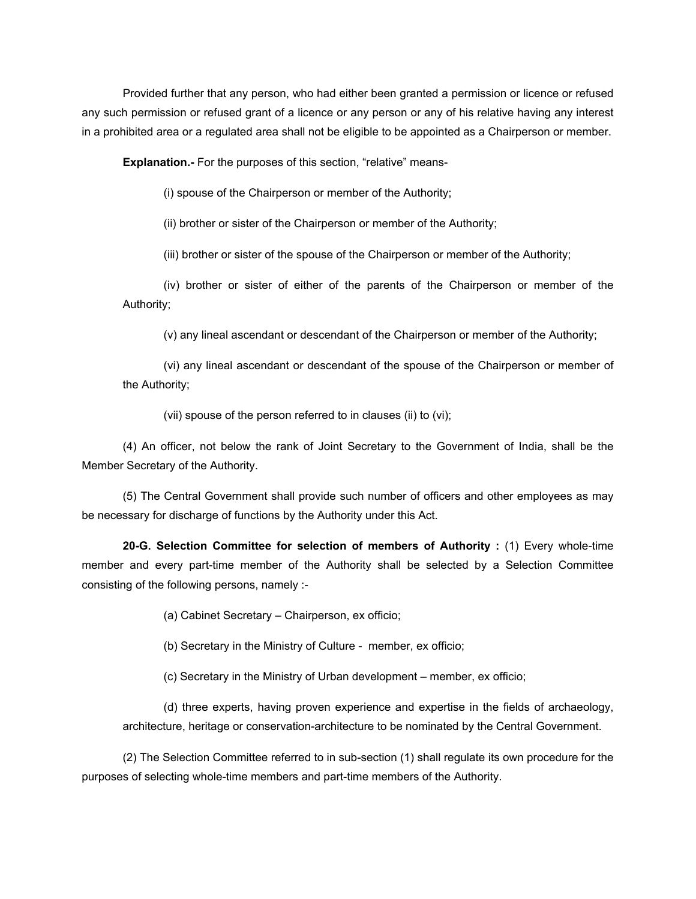Provided further that any person, who had either been granted a permission or licence or refused any such permission or refused grant of a licence or any person or any of his relative having any interest in a prohibited area or a regulated area shall not be eligible to be appointed as a Chairperson or member.

**Explanation.-** For the purposes of this section, "relative" means-

(i) spouse of the Chairperson or member of the Authority;

(ii) brother or sister of the Chairperson or member of the Authority;

(iii) brother or sister of the spouse of the Chairperson or member of the Authority;

(iv) brother or sister of either of the parents of the Chairperson or member of the Authority;

(v) any lineal ascendant or descendant of the Chairperson or member of the Authority;

(vi) any lineal ascendant or descendant of the spouse of the Chairperson or member of the Authority;

(vii) spouse of the person referred to in clauses (ii) to (vi);

(4) An officer, not below the rank of Joint Secretary to the Government of India, shall be the Member Secretary of the Authority.

(5) The Central Government shall provide such number of officers and other employees as may be necessary for discharge of functions by the Authority under this Act.

**20-G. Selection Committee for selection of members of Authority :** (1) Every whole-time member and every part-time member of the Authority shall be selected by a Selection Committee consisting of the following persons, namely :-

(a) Cabinet Secretary – Chairperson, ex officio;

(b) Secretary in the Ministry of Culture - member, ex officio;

(c) Secretary in the Ministry of Urban development – member, ex officio;

(d) three experts, having proven experience and expertise in the fields of archaeology, architecture, heritage or conservation-architecture to be nominated by the Central Government.

(2) The Selection Committee referred to in sub-section (1) shall regulate its own procedure for the purposes of selecting whole-time members and part-time members of the Authority.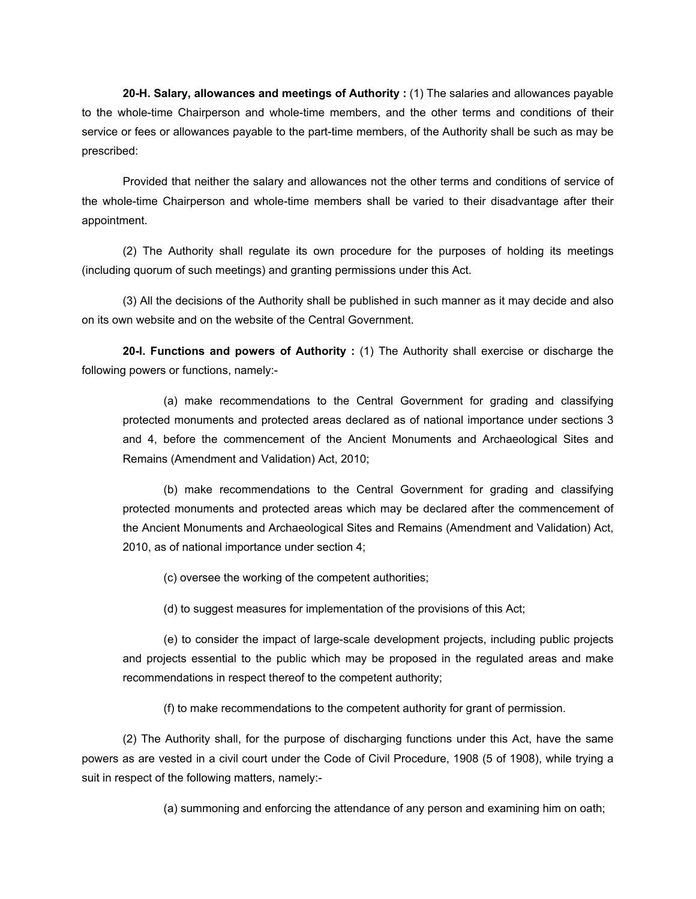**20-H. Salary, allowances and meetings of Authority :** (1) The salaries and allowances payable to the whole-time Chairperson and whole-time members, and the other terms and conditions of their service or fees or allowances payable to the part-time members, of the Authority shall be such as may be prescribed:

Provided that neither the salary and allowances not the other terms and conditions of service of the whole-time Chairperson and whole-time members shall be varied to their disadvantage after their appointment.

(2) The Authority shall regulate its own procedure for the purposes of holding its meetings (including quorum of such meetings) and granting permissions under this Act.

(3) All the decisions of the Authority shall be published in such manner as it may decide and also on its own website and on the website of the Central Government.

**20-I. Functions and powers of Authority :** (1) The Authority shall exercise or discharge the following powers or functions, namely:-

(a) make recommendations to the Central Government for grading and classifying protected monuments and protected areas declared as of national importance under sections 3 and 4, before the commencement of the Ancient Monuments and Archaeological Sites and Remains (Amendment and Validation) Act, 2010;

(b) make recommendations to the Central Government for grading and classifying protected monuments and protected areas which may be declared after the commencement of the Ancient Monuments and Archaeological Sites and Remains (Amendment and Validation) Act, 2010, as of national importance under section 4;

(c) oversee the working of the competent authorities;

(d) to suggest measures for implementation of the provisions of this Act;

(e) to consider the impact of large-scale development projects, including public projects and projects essential to the public which may be proposed in the regulated areas and make recommendations in respect thereof to the competent authority;

(f) to make recommendations to the competent authority for grant of permission.

(2) The Authority shall, for the purpose of discharging functions under this Act, have the same powers as are vested in a civil court under the Code of Civil Procedure, 1908 (5 of 1908), while trying a suit in respect of the following matters, namely:-

(a) summoning and enforcing the attendance of any person and examining him on oath;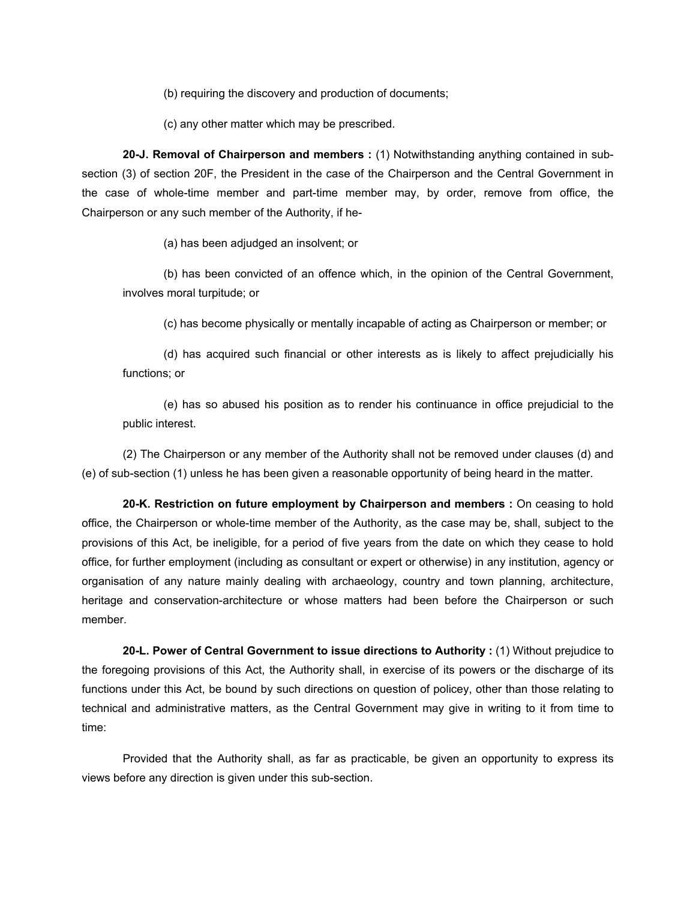(b) requiring the discovery and production of documents;

(c) any other matter which may be prescribed.

**20-J. Removal of Chairperson and members :** (1) Notwithstanding anything contained in subsection (3) of section 20F, the President in the case of the Chairperson and the Central Government in the case of whole-time member and part-time member may, by order, remove from office, the Chairperson or any such member of the Authority, if he-

(a) has been adjudged an insolvent; or

(b) has been convicted of an offence which, in the opinion of the Central Government, involves moral turpitude; or

(c) has become physically or mentally incapable of acting as Chairperson or member; or

(d) has acquired such financial or other interests as is likely to affect prejudicially his functions; or

(e) has so abused his position as to render his continuance in office prejudicial to the public interest.

(2) The Chairperson or any member of the Authority shall not be removed under clauses (d) and (e) of sub-section (1) unless he has been given a reasonable opportunity of being heard in the matter.

**20-K. Restriction on future employment by Chairperson and members :** On ceasing to hold office, the Chairperson or whole-time member of the Authority, as the case may be, shall, subject to the provisions of this Act, be ineligible, for a period of five years from the date on which they cease to hold office, for further employment (including as consultant or expert or otherwise) in any institution, agency or organisation of any nature mainly dealing with archaeology, country and town planning, architecture, heritage and conservation-architecture or whose matters had been before the Chairperson or such member.

**20-L. Power of Central Government to issue directions to Authority :** (1) Without prejudice to the foregoing provisions of this Act, the Authority shall, in exercise of its powers or the discharge of its functions under this Act, be bound by such directions on question of policey, other than those relating to technical and administrative matters, as the Central Government may give in writing to it from time to time:

Provided that the Authority shall, as far as practicable, be given an opportunity to express its views before any direction is given under this sub-section.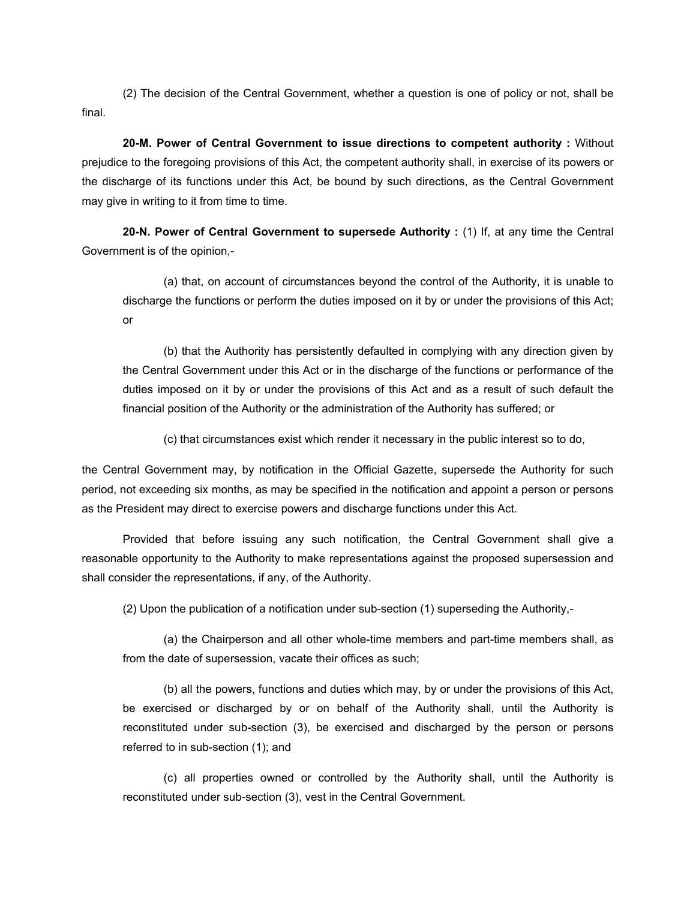(2) The decision of the Central Government, whether a question is one of policy or not, shall be final.

**20-M. Power of Central Government to issue directions to competent authority :** Without prejudice to the foregoing provisions of this Act, the competent authority shall, in exercise of its powers or the discharge of its functions under this Act, be bound by such directions, as the Central Government may give in writing to it from time to time.

**20-N. Power of Central Government to supersede Authority :** (1) If, at any time the Central Government is of the opinion,-

(a) that, on account of circumstances beyond the control of the Authority, it is unable to discharge the functions or perform the duties imposed on it by or under the provisions of this Act; or

(b) that the Authority has persistently defaulted in complying with any direction given by the Central Government under this Act or in the discharge of the functions or performance of the duties imposed on it by or under the provisions of this Act and as a result of such default the financial position of the Authority or the administration of the Authority has suffered; or

(c) that circumstances exist which render it necessary in the public interest so to do,

the Central Government may, by notification in the Official Gazette, supersede the Authority for such period, not exceeding six months, as may be specified in the notification and appoint a person or persons as the President may direct to exercise powers and discharge functions under this Act.

Provided that before issuing any such notification, the Central Government shall give a reasonable opportunity to the Authority to make representations against the proposed supersession and shall consider the representations, if any, of the Authority.

(2) Upon the publication of a notification under sub-section (1) superseding the Authority,-

(a) the Chairperson and all other whole-time members and part-time members shall, as from the date of supersession, vacate their offices as such;

(b) all the powers, functions and duties which may, by or under the provisions of this Act, be exercised or discharged by or on behalf of the Authority shall, until the Authority is reconstituted under sub-section (3), be exercised and discharged by the person or persons referred to in sub-section (1); and

(c) all properties owned or controlled by the Authority shall, until the Authority is reconstituted under sub-section (3), vest in the Central Government.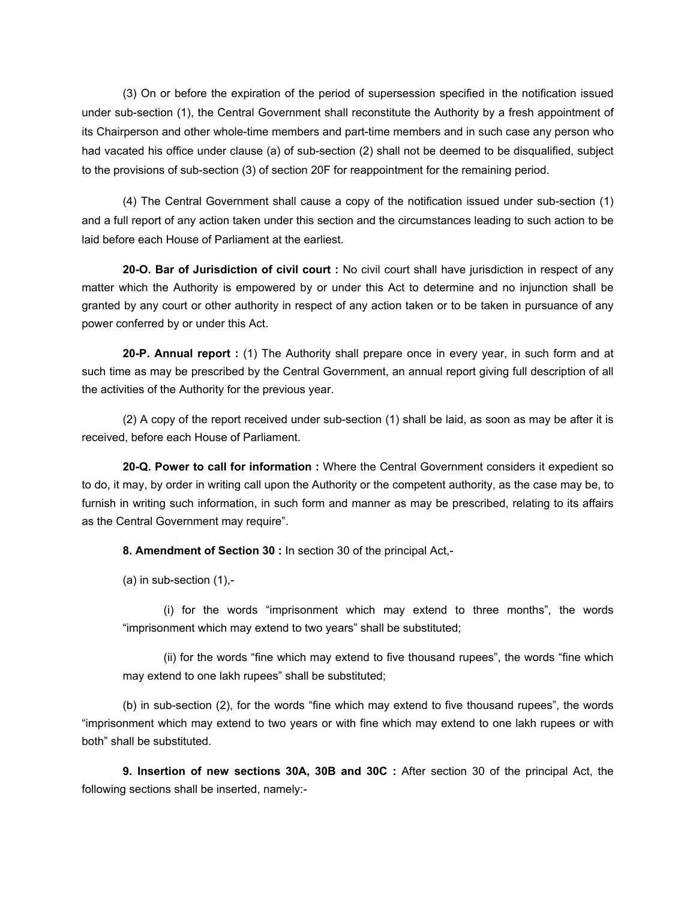(3) On or before the expiration of the period of supersession specified in the notification issued under sub-section (1), the Central Government shall reconstitute the Authority by a fresh appointment of its Chairperson and other whole-time members and part-time members and in such case any person who had vacated his office under clause (a) of sub-section (2) shall not be deemed to be disqualified, subject to the provisions of sub-section (3) of section 20F for reappointment for the remaining period.

(4) The Central Government shall cause a copy of the notification issued under sub-section (1) and a full report of any action taken under this section and the circumstances leading to such action to be laid before each House of Parliament at the earliest.

**20-O. Bar of Jurisdiction of civil court :** No civil court shall have jurisdiction in respect of any matter which the Authority is empowered by or under this Act to determine and no injunction shall be granted by any court or other authority in respect of any action taken or to be taken in pursuance of any power conferred by or under this Act.

**20-P. Annual report :** (1) The Authority shall prepare once in every year, in such form and at such time as may be prescribed by the Central Government, an annual report giving full description of all the activities of the Authority for the previous year.

(2) A copy of the report received under sub-section (1) shall be laid, as soon as may be after it is received, before each House of Parliament.

**20-Q. Power to call for information :** Where the Central Government considers it expedient so to do, it may, by order in writing call upon the Authority or the competent authority, as the case may be, to furnish in writing such information, in such form and manner as may be prescribed, relating to its affairs as the Central Government may require".

**8. Amendment of Section 30 :** In section 30 of the principal Act,-

(a) in sub-section (1),-

(i) for the words "imprisonment which may extend to three months", the words "imprisonment which may extend to two years" shall be substituted;

(ii) for the words "fine which may extend to five thousand rupees", the words "fine which may extend to one lakh rupees" shall be substituted;

(b) in sub-section (2), for the words "fine which may extend to five thousand rupees", the words "imprisonment which may extend to two years or with fine which may extend to one lakh rupees or with both" shall be substituted.

**9. Insertion of new sections 30A, 30B and 30C :** After section 30 of the principal Act, the following sections shall be inserted, namely:-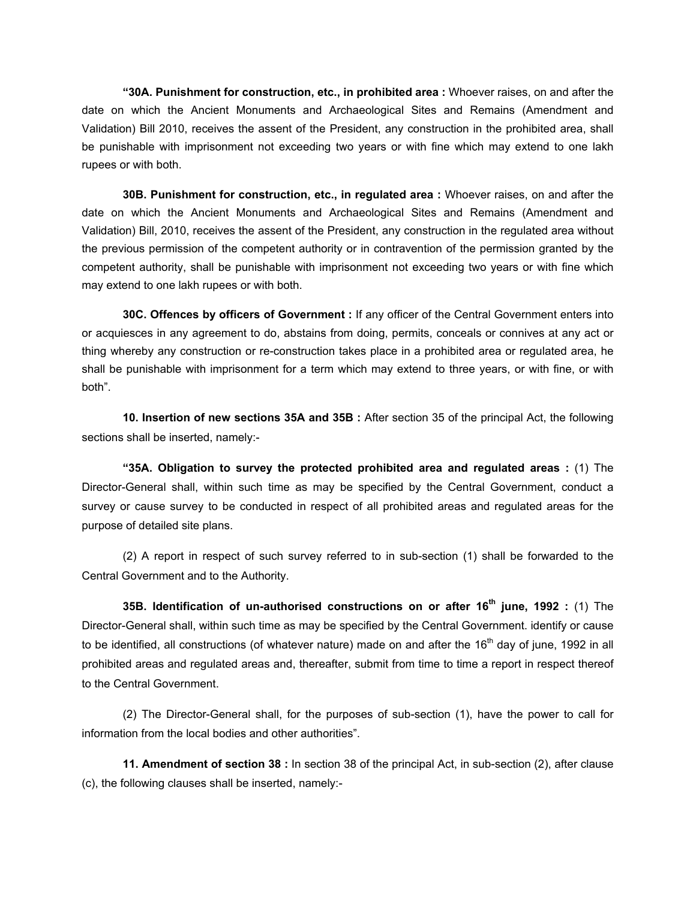**"30A. Punishment for construction, etc., in prohibited area :** Whoever raises, on and after the date on which the Ancient Monuments and Archaeological Sites and Remains (Amendment and Validation) Bill 2010, receives the assent of the President, any construction in the prohibited area, shall be punishable with imprisonment not exceeding two years or with fine which may extend to one lakh rupees or with both.

**30B. Punishment for construction, etc., in regulated area :** Whoever raises, on and after the date on which the Ancient Monuments and Archaeological Sites and Remains (Amendment and Validation) Bill, 2010, receives the assent of the President, any construction in the regulated area without the previous permission of the competent authority or in contravention of the permission granted by the competent authority, shall be punishable with imprisonment not exceeding two years or with fine which may extend to one lakh rupees or with both.

**30C. Offences by officers of Government :** If any officer of the Central Government enters into or acquiesces in any agreement to do, abstains from doing, permits, conceals or connives at any act or thing whereby any construction or re-construction takes place in a prohibited area or regulated area, he shall be punishable with imprisonment for a term which may extend to three years, or with fine, or with both".

**10. Insertion of new sections 35A and 35B :** After section 35 of the principal Act, the following sections shall be inserted, namely:-

**"35A. Obligation to survey the protected prohibited area and regulated areas :** (1) The Director-General shall, within such time as may be specified by the Central Government, conduct a survey or cause survey to be conducted in respect of all prohibited areas and regulated areas for the purpose of detailed site plans.

(2) A report in respect of such survey referred to in sub-section (1) shall be forwarded to the Central Government and to the Authority.

**35B. Identification of un-authorised constructions on or after 16th june, 1992 :** (1) The Director-General shall, within such time as may be specified by the Central Government. identify or cause to be identified, all constructions (of whatever nature) made on and after the  $16<sup>th</sup>$  day of june, 1992 in all prohibited areas and regulated areas and, thereafter, submit from time to time a report in respect thereof to the Central Government.

(2) The Director-General shall, for the purposes of sub-section (1), have the power to call for information from the local bodies and other authorities".

**11. Amendment of section 38 :** In section 38 of the principal Act, in sub-section (2), after clause (c), the following clauses shall be inserted, namely:-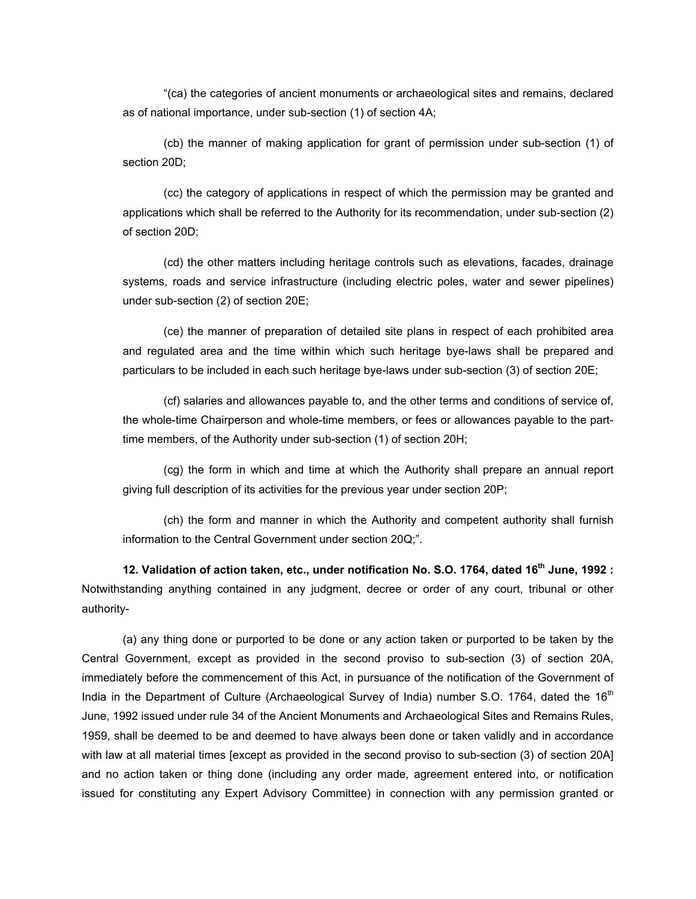"(ca) the categories of ancient monuments or archaeological sites and remains, declared as of national importance, under sub-section (1) of section 4A;

(cb) the manner of making application for grant of permission under sub-section (1) of section 20D;

(cc) the category of applications in respect of which the permission may be granted and applications which shall be referred to the Authority for its recommendation, under sub-section (2) of section 20D;

(cd) the other matters including heritage controls such as elevations, facades, drainage systems, roads and service infrastructure (including electric poles, water and sewer pipelines) under sub-section (2) of section 20E;

(ce) the manner of preparation of detailed site plans in respect of each prohibited area and regulated area and the time within which such heritage bye-laws shall be prepared and particulars to be included in each such heritage bye-laws under sub-section (3) of section 20E;

(cf) salaries and allowances payable to, and the other terms and conditions of service of, the whole-time Chairperson and whole-time members, or fees or allowances payable to the parttime members, of the Authority under sub-section (1) of section 20H;

(cg) the form in which and time at which the Authority shall prepare an annual report giving full description of its activities for the previous year under section 20P;

(ch) the form and manner in which the Authority and competent authority shall furnish information to the Central Government under section 20Q;".

**12. Validation of action taken, etc., under notification No. S.O. 1764, dated 16th June, 1992 :** Notwithstanding anything contained in any judgment, decree or order of any court, tribunal or other authority-

(a) any thing done or purported to be done or any action taken or purported to be taken by the Central Government, except as provided in the second proviso to sub-section (3) of section 20A, immediately before the commencement of this Act, in pursuance of the notification of the Government of India in the Department of Culture (Archaeological Survey of India) number S.O. 1764, dated the  $16<sup>th</sup>$ June, 1992 issued under rule 34 of the Ancient Monuments and Archaeological Sites and Remains Rules, 1959, shall be deemed to be and deemed to have always been done or taken validly and in accordance with law at all material times [except as provided in the second proviso to sub-section (3) of section 20A] and no action taken or thing done (including any order made, agreement entered into, or notification issued for constituting any Expert Advisory Committee) in connection with any permission granted or